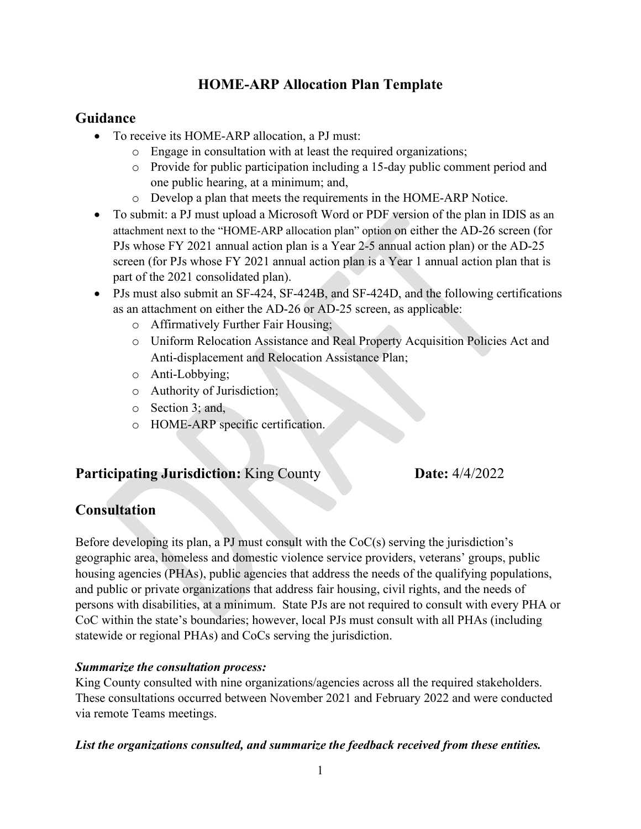## **HOME-ARP Allocation Plan Template**

### **Guidance**

- To receive its HOME-ARP allocation, a PJ must:
	- o Engage in consultation with at least the required organizations;
	- o Provide for public participation including a 15-day public comment period and one public hearing, at a minimum; and,
	- o Develop a plan that meets the requirements in the HOME-ARP Notice.
- To submit: a PJ must upload a Microsoft Word or PDF version of the plan in IDIS as an attachment next to the "HOME-ARP allocation plan" option on either the AD-26 screen (for PJs whose FY 2021 annual action plan is a Year 2-5 annual action plan) or the AD-25 screen (for PJs whose FY 2021 annual action plan is a Year 1 annual action plan that is part of the 2021 consolidated plan).
- PJs must also submit an SF-424, SF-424B, and SF-424D, and the following certifications as an attachment on either the AD-26 or AD-25 screen, as applicable:
	- o Affirmatively Further Fair Housing;
	- o Uniform Relocation Assistance and Real Property Acquisition Policies Act and Anti-displacement and Relocation Assistance Plan;
	- o Anti-Lobbying;
	- o Authority of Jurisdiction;
	- o Section 3; and,
	- o HOME-ARP specific certification.

### **Participating Jurisdiction:** King County **Date:** 4/4/2022

## **Consultation**

Before developing its plan, a PJ must consult with the  $CoC(s)$  serving the jurisdiction's geographic area, homeless and domestic violence service providers, veterans' groups, public housing agencies (PHAs), public agencies that address the needs of the qualifying populations, and public or private organizations that address fair housing, civil rights, and the needs of persons with disabilities, at a minimum. State PJs are not required to consult with every PHA or CoC within the state's boundaries; however, local PJs must consult with all PHAs (including statewide or regional PHAs) and CoCs serving the jurisdiction.

### *Summarize the consultation process:*

King County consulted with nine organizations/agencies across all the required stakeholders. These consultations occurred between November 2021 and February 2022 and were conducted via remote Teams meetings.

#### *List the organizations consulted, and summarize the feedback received from these entities.*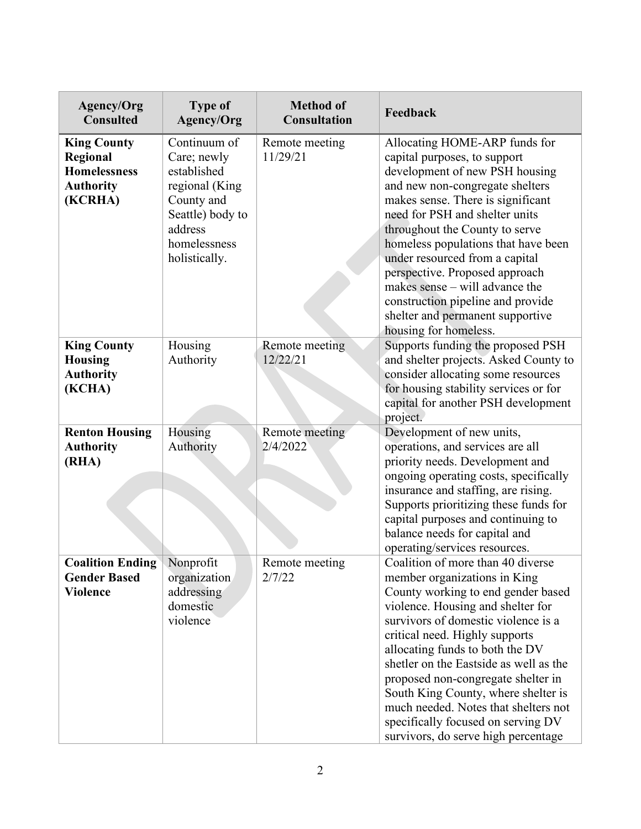| <b>Agency/Org</b><br><b>Consulted</b>                                                | <b>Type of</b><br>Agency/Org                                                                                                               | <b>Method of</b><br><b>Consultation</b> | Feedback                                                                                                                                                                                                                                                                                                                                                                                                                                                                                             |  |
|--------------------------------------------------------------------------------------|--------------------------------------------------------------------------------------------------------------------------------------------|-----------------------------------------|------------------------------------------------------------------------------------------------------------------------------------------------------------------------------------------------------------------------------------------------------------------------------------------------------------------------------------------------------------------------------------------------------------------------------------------------------------------------------------------------------|--|
| <b>King County</b><br>Regional<br><b>Homelessness</b><br><b>Authority</b><br>(KCRHA) | Continuum of<br>Care; newly<br>established<br>regional (King<br>County and<br>Seattle) body to<br>address<br>homelessness<br>holistically. | Remote meeting<br>11/29/21              | Allocating HOME-ARP funds for<br>capital purposes, to support<br>development of new PSH housing<br>and new non-congregate shelters<br>makes sense. There is significant<br>need for PSH and shelter units<br>throughout the County to serve<br>homeless populations that have been<br>under resourced from a capital<br>perspective. Proposed approach<br>makes sense – will advance the<br>construction pipeline and provide<br>shelter and permanent supportive<br>housing for homeless.           |  |
| <b>King County</b><br><b>Housing</b><br><b>Authority</b><br>(KCHA)                   | Housing<br>Authority                                                                                                                       | Remote meeting<br>12/22/21              | Supports funding the proposed PSH<br>and shelter projects. Asked County to<br>consider allocating some resources<br>for housing stability services or for<br>capital for another PSH development<br>project.                                                                                                                                                                                                                                                                                         |  |
| <b>Renton Housing</b><br><b>Authority</b><br>(RHA)                                   | Housing<br>Authority                                                                                                                       | Remote meeting<br>2/4/2022              | Development of new units,<br>operations, and services are all<br>priority needs. Development and<br>ongoing operating costs, specifically<br>insurance and staffing, are rising.<br>Supports prioritizing these funds for<br>capital purposes and continuing to<br>balance needs for capital and<br>operating/services resources.                                                                                                                                                                    |  |
| <b>Coalition Ending</b><br><b>Gender Based</b><br><b>Violence</b>                    | Nonprofit<br>organization<br>addressing<br>domestic<br>violence                                                                            | Remote meeting<br>2/7/22                | Coalition of more than 40 diverse<br>member organizations in King<br>County working to end gender based<br>violence. Housing and shelter for<br>survivors of domestic violence is a<br>critical need. Highly supports<br>allocating funds to both the DV<br>shetler on the Eastside as well as the<br>proposed non-congregate shelter in<br>South King County, where shelter is<br>much needed. Notes that shelters not<br>specifically focused on serving DV<br>survivors, do serve high percentage |  |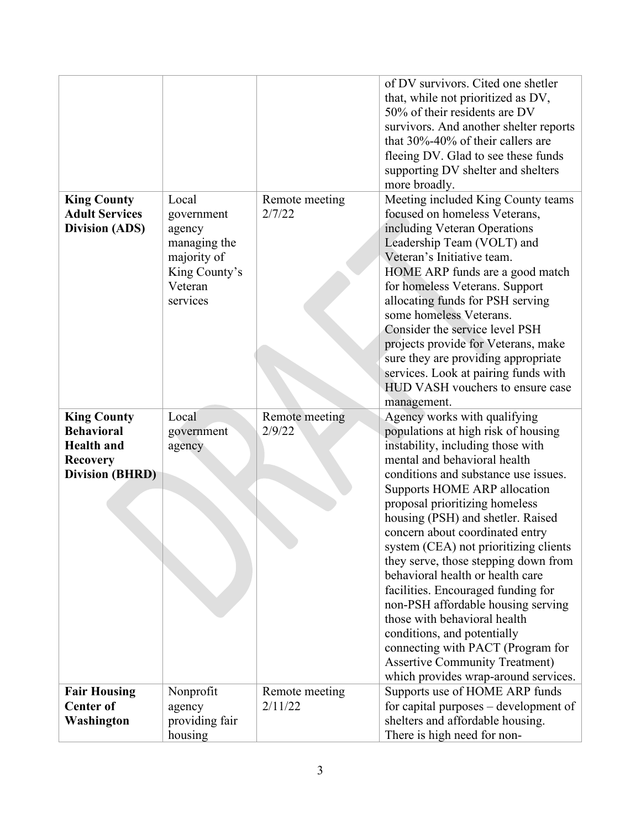|                        |                           |                | of DV survivors. Cited one shetler                              |
|------------------------|---------------------------|----------------|-----------------------------------------------------------------|
|                        |                           |                | that, while not prioritized as DV,                              |
|                        |                           |                | 50% of their residents are DV                                   |
|                        |                           |                | survivors. And another shelter reports                          |
|                        |                           |                | that $30\% - 40\%$ of their callers are                         |
|                        |                           |                |                                                                 |
|                        |                           |                | fleeing DV. Glad to see these funds                             |
|                        |                           |                | supporting DV shelter and shelters                              |
|                        |                           |                | more broadly.                                                   |
| <b>King County</b>     | Local                     | Remote meeting | Meeting included King County teams                              |
| <b>Adult Services</b>  | government                | 2/7/22         | focused on homeless Veterans,                                   |
| <b>Division (ADS)</b>  | agency                    |                | including Veteran Operations                                    |
|                        | managing the              |                | Leadership Team (VOLT) and                                      |
|                        | majority of               |                | Veteran's Initiative team.                                      |
|                        | King County's             |                | HOME ARP funds are a good match                                 |
|                        | Veteran                   |                | for homeless Veterans. Support                                  |
|                        | services                  |                | allocating funds for PSH serving                                |
|                        |                           |                | some homeless Veterans.                                         |
|                        |                           |                | Consider the service level PSH                                  |
|                        |                           |                | projects provide for Veterans, make                             |
|                        |                           |                | sure they are providing appropriate                             |
|                        |                           |                | services. Look at pairing funds with                            |
|                        |                           |                | HUD VASH vouchers to ensure case                                |
|                        |                           |                | management.                                                     |
|                        |                           |                |                                                                 |
|                        |                           |                |                                                                 |
| <b>King County</b>     | Local                     | Remote meeting | Agency works with qualifying                                    |
| <b>Behavioral</b>      | government                | 2/9/22         | populations at high risk of housing                             |
| <b>Health</b> and      | agency                    |                | instability, including those with                               |
| <b>Recovery</b>        |                           |                | mental and behavioral health                                    |
| <b>Division (BHRD)</b> |                           |                | conditions and substance use issues.                            |
|                        |                           |                | Supports HOME ARP allocation                                    |
|                        |                           |                | proposal prioritizing homeless                                  |
|                        |                           |                | housing (PSH) and shetler. Raised                               |
|                        |                           |                | concern about coordinated entry                                 |
|                        |                           |                | system (CEA) not prioritizing clients                           |
|                        |                           |                | they serve, those stepping down from                            |
|                        |                           |                | behavioral health or health care                                |
|                        |                           |                | facilities. Encouraged funding for                              |
|                        |                           |                | non-PSH affordable housing serving                              |
|                        |                           |                | those with behavioral health                                    |
|                        |                           |                | conditions, and potentially                                     |
|                        |                           |                | connecting with PACT (Program for                               |
|                        |                           |                | <b>Assertive Community Treatment)</b>                           |
|                        |                           |                | which provides wrap-around services.                            |
| <b>Fair Housing</b>    | Nonprofit                 | Remote meeting | Supports use of HOME ARP funds                                  |
| <b>Center of</b>       | agency                    | 2/11/22        | for capital purposes – development of                           |
| Washington             | providing fair<br>housing |                | shelters and affordable housing.<br>There is high need for non- |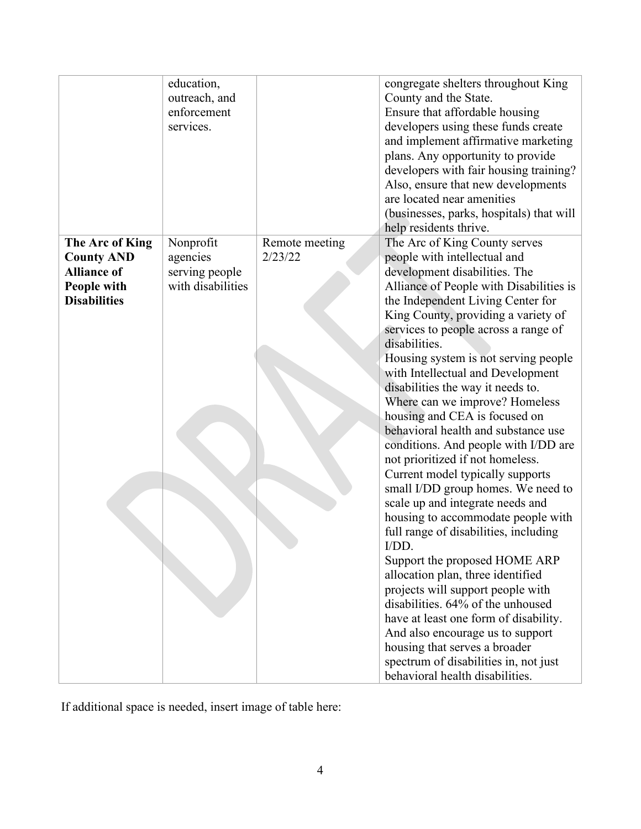|                                   | education,<br>outreach, and<br>enforcement<br>services. |                | congregate shelters throughout King<br>County and the State.<br>Ensure that affordable housing<br>developers using these funds create<br>and implement affirmative marketing<br>plans. Any opportunity to provide<br>developers with fair housing training?<br>Also, ensure that new developments<br>are located near amenities<br>(businesses, parks, hospitals) that will<br>help residents thrive. |
|-----------------------------------|---------------------------------------------------------|----------------|-------------------------------------------------------------------------------------------------------------------------------------------------------------------------------------------------------------------------------------------------------------------------------------------------------------------------------------------------------------------------------------------------------|
| The Arc of King                   | Nonprofit                                               | Remote meeting | The Arc of King County serves                                                                                                                                                                                                                                                                                                                                                                         |
| <b>County AND</b>                 | agencies                                                | 2/23/22        | people with intellectual and                                                                                                                                                                                                                                                                                                                                                                          |
| <b>Alliance of</b><br>People with | serving people<br>with disabilities                     |                | development disabilities. The<br>Alliance of People with Disabilities is                                                                                                                                                                                                                                                                                                                              |
| <b>Disabilities</b>               |                                                         |                | the Independent Living Center for                                                                                                                                                                                                                                                                                                                                                                     |
|                                   |                                                         |                | King County, providing a variety of                                                                                                                                                                                                                                                                                                                                                                   |
|                                   |                                                         |                | services to people across a range of                                                                                                                                                                                                                                                                                                                                                                  |
|                                   |                                                         |                | disabilities.                                                                                                                                                                                                                                                                                                                                                                                         |
|                                   |                                                         |                | Housing system is not serving people                                                                                                                                                                                                                                                                                                                                                                  |
|                                   |                                                         |                | with Intellectual and Development                                                                                                                                                                                                                                                                                                                                                                     |
|                                   |                                                         |                | disabilities the way it needs to.<br>Where can we improve? Homeless                                                                                                                                                                                                                                                                                                                                   |
|                                   |                                                         |                | housing and CEA is focused on                                                                                                                                                                                                                                                                                                                                                                         |
|                                   |                                                         |                | behavioral health and substance use                                                                                                                                                                                                                                                                                                                                                                   |
|                                   |                                                         |                | conditions. And people with I/DD are                                                                                                                                                                                                                                                                                                                                                                  |
|                                   |                                                         |                | not prioritized if not homeless.                                                                                                                                                                                                                                                                                                                                                                      |
|                                   |                                                         |                | Current model typically supports                                                                                                                                                                                                                                                                                                                                                                      |
|                                   |                                                         |                | small I/DD group homes. We need to<br>scale up and integrate needs and                                                                                                                                                                                                                                                                                                                                |
|                                   |                                                         |                | housing to accommodate people with                                                                                                                                                                                                                                                                                                                                                                    |
|                                   |                                                         |                | full range of disabilities, including                                                                                                                                                                                                                                                                                                                                                                 |
|                                   |                                                         |                | I/DD.                                                                                                                                                                                                                                                                                                                                                                                                 |
|                                   |                                                         |                | Support the proposed HOME ARP                                                                                                                                                                                                                                                                                                                                                                         |
|                                   |                                                         |                | allocation plan, three identified                                                                                                                                                                                                                                                                                                                                                                     |
|                                   |                                                         |                | projects will support people with<br>disabilities. 64% of the unhoused                                                                                                                                                                                                                                                                                                                                |
|                                   |                                                         |                | have at least one form of disability.                                                                                                                                                                                                                                                                                                                                                                 |
|                                   |                                                         |                | And also encourage us to support                                                                                                                                                                                                                                                                                                                                                                      |
|                                   |                                                         |                | housing that serves a broader                                                                                                                                                                                                                                                                                                                                                                         |
|                                   |                                                         |                | spectrum of disabilities in, not just                                                                                                                                                                                                                                                                                                                                                                 |
|                                   |                                                         |                | behavioral health disabilities.                                                                                                                                                                                                                                                                                                                                                                       |

If additional space is needed, insert image of table here: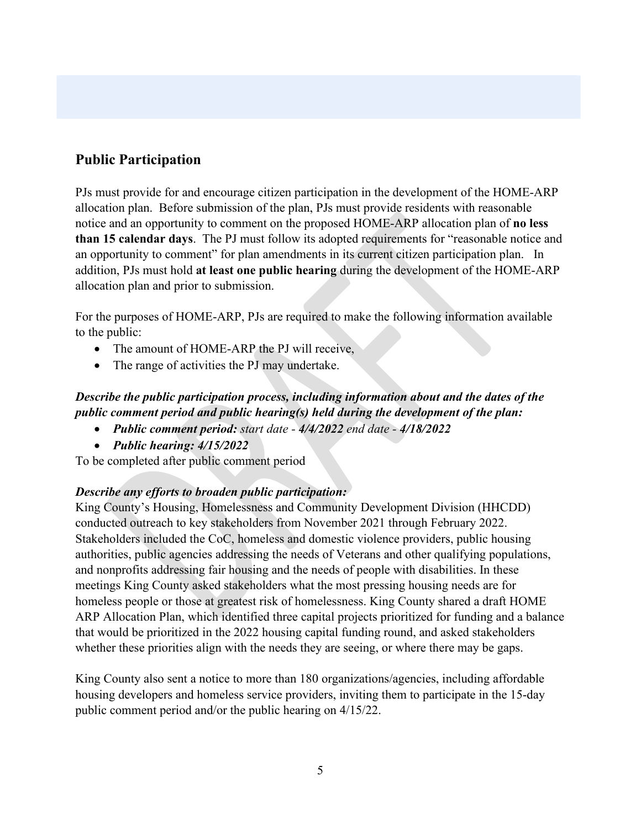# **Public Participation**

PJs must provide for and encourage citizen participation in the development of the HOME-ARP allocation plan. Before submission of the plan, PJs must provide residents with reasonable notice and an opportunity to comment on the proposed HOME-ARP allocation plan of **no less than 15 calendar days**. The PJ must follow its adopted requirements for "reasonable notice and an opportunity to comment" for plan amendments in its current citizen participation plan. In addition, PJs must hold **at least one public hearing** during the development of the HOME-ARP allocation plan and prior to submission.

For the purposes of HOME-ARP, PJs are required to make the following information available to the public:

- The amount of HOME-ARP the PJ will receive,
- The range of activities the PJ may undertake.

## *Describe the public participation process, including information about and the dates of the public comment period and public hearing(s) held during the development of the plan:*

- *Public comment period: start date - 4/4/2022 end date - 4/18/2022*
- *Public hearing: 4/15/2022*

To be completed after public comment period

### *Describe any efforts to broaden public participation:*

King County's Housing, Homelessness and Community Development Division (HHCDD) conducted outreach to key stakeholders from November 2021 through February 2022. Stakeholders included the CoC, homeless and domestic violence providers, public housing authorities, public agencies addressing the needs of Veterans and other qualifying populations, and nonprofits addressing fair housing and the needs of people with disabilities. In these meetings King County asked stakeholders what the most pressing housing needs are for homeless people or those at greatest risk of homelessness. King County shared a draft HOME ARP Allocation Plan, which identified three capital projects prioritized for funding and a balance that would be prioritized in the 2022 housing capital funding round, and asked stakeholders whether these priorities align with the needs they are seeing, or where there may be gaps.

King County also sent a notice to more than 180 organizations/agencies, including affordable housing developers and homeless service providers, inviting them to participate in the 15-day public comment period and/or the public hearing on 4/15/22.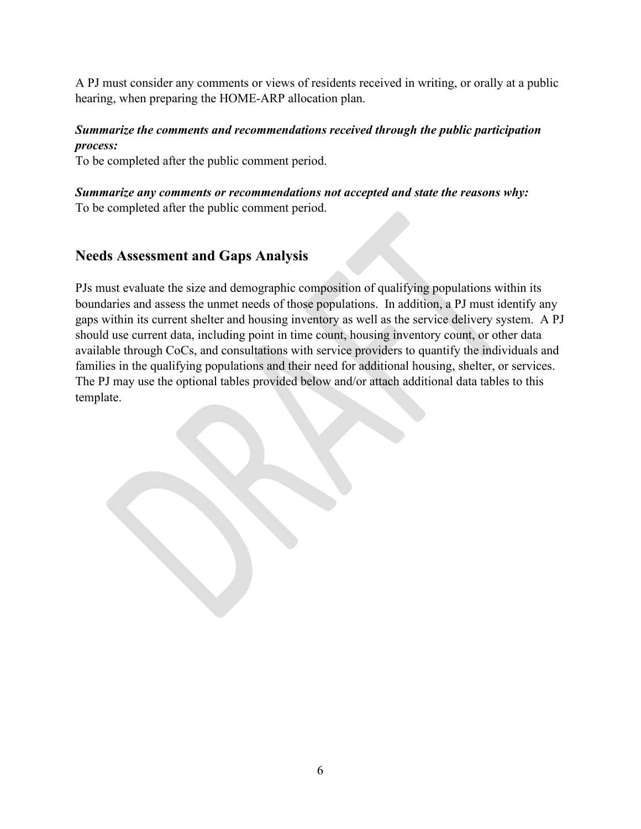A PJ must consider any comments or views of residents received in writing, or orally at a public hearing, when preparing the HOME-ARP allocation plan.

### *Summarize the comments and recommendations received through the public participation process:*

To be completed after the public comment period.

### *Summarize any comments or recommendations not accepted and state the reasons why:*

To be completed after the public comment period.

# **Needs Assessment and Gaps Analysis**

PJs must evaluate the size and demographic composition of qualifying populations within its boundaries and assess the unmet needs of those populations. In addition, a PJ must identify any gaps within its current shelter and housing inventory as well as the service delivery system. A PJ should use current data, including point in time count, housing inventory count, or other data available through CoCs, and consultations with service providers to quantify the individuals and families in the qualifying populations and their need for additional housing, shelter, or services. The PJ may use the optional tables provided below and/or attach additional data tables to this template.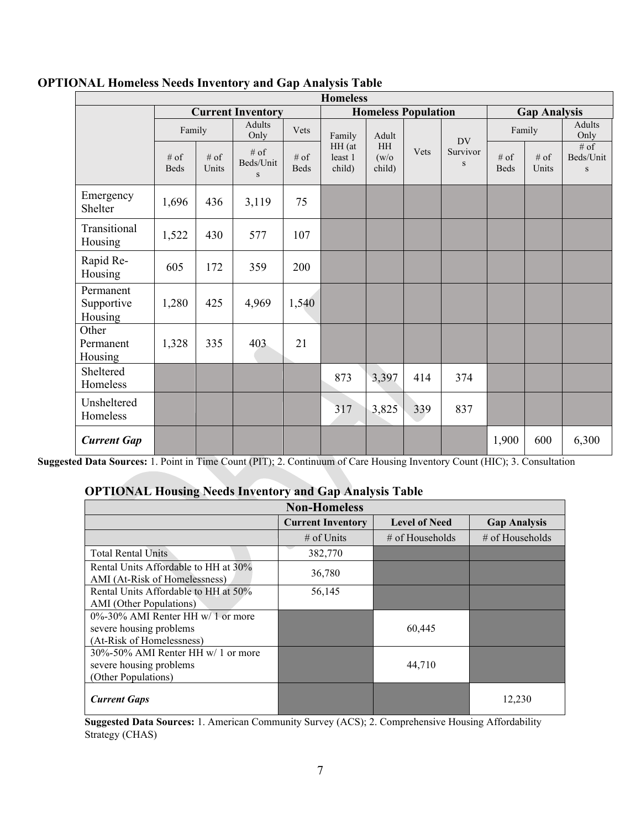| <b>Homeless</b>                    |                          |                 |                          |                            |                                                                         |       |                             |                       |               |                                    |       |
|------------------------------------|--------------------------|-----------------|--------------------------|----------------------------|-------------------------------------------------------------------------|-------|-----------------------------|-----------------------|---------------|------------------------------------|-------|
|                                    | <b>Current Inventory</b> |                 |                          | <b>Homeless Population</b> |                                                                         |       | <b>Gap Analysis</b>         |                       |               |                                    |       |
|                                    | Family                   |                 | <b>Adults</b><br>Only    | Vets                       | Family<br>Adult<br>HH<br>HH (at<br>(w/o)<br>least 1<br>child)<br>child) | Vets  | DV<br>Survivor<br>${\bf S}$ | Family                |               | Adults<br>Only                     |       |
|                                    | $#$ of<br><b>Beds</b>    | $#$ of<br>Units | $#$ of<br>Beds/Unit<br>S | $#$ of<br><b>Beds</b>      |                                                                         |       |                             | $#$ of<br><b>Beds</b> | # of<br>Units | $#$ of<br>Beds/Unit<br>$\mathbf S$ |       |
| Emergency<br>Shelter               | 1,696                    | 436             | 3,119                    | 75                         |                                                                         |       |                             |                       |               |                                    |       |
| Transitional<br>Housing            | 1,522                    | 430             | 577                      | 107                        |                                                                         |       |                             |                       |               |                                    |       |
| Rapid Re-<br>Housing               | 605                      | 172             | 359                      | 200                        |                                                                         |       |                             |                       |               |                                    |       |
| Permanent<br>Supportive<br>Housing | 1,280                    | 425             | 4,969                    | 1,540                      |                                                                         |       |                             |                       |               |                                    |       |
| Other<br>Permanent<br>Housing      | 1,328                    | 335             | 403                      | 21                         |                                                                         |       |                             |                       |               |                                    |       |
| Sheltered<br>Homeless              |                          |                 |                          |                            | 873                                                                     | 3,397 | 414                         | 374                   |               |                                    |       |
| Unsheltered<br>Homeless            |                          |                 |                          |                            | 317                                                                     | 3,825 | 339                         | 837                   |               |                                    |       |
| <b>Current Gap</b>                 |                          |                 |                          |                            |                                                                         |       |                             |                       | 1,900         | 600                                | 6,300 |

#### **OPTIONAL Homeless Needs Inventory and Gap Analysis Table**

**Suggested Data Sources:** 1. Point in Time Count (PIT); 2. Continuum of Care Housing Inventory Count (HIC); 3. Consultation

#### **OPTIONAL Housing Needs Inventory and Gap Analysis Table**

| <b>Non-Homeless</b>                                                   |                          |                      |                     |  |  |  |
|-----------------------------------------------------------------------|--------------------------|----------------------|---------------------|--|--|--|
|                                                                       | <b>Current Inventory</b> | <b>Level of Need</b> | <b>Gap Analysis</b> |  |  |  |
|                                                                       | # of Units               | $\#$ of Households   | $\#$ of Households  |  |  |  |
| <b>Total Rental Units</b>                                             | 382,770                  |                      |                     |  |  |  |
| Rental Units Affordable to HH at 30%<br>AMI (At-Risk of Homelessness) | 36,780                   |                      |                     |  |  |  |
| Rental Units Affordable to HH at 50%                                  | 56,145                   |                      |                     |  |  |  |
| AMI (Other Populations)                                               |                          |                      |                     |  |  |  |
| $0\% - 30\%$ AMI Renter HH w/ 1 or more                               |                          |                      |                     |  |  |  |
| severe housing problems                                               |                          | 60,445               |                     |  |  |  |
| (At-Risk of Homelessness)                                             |                          |                      |                     |  |  |  |
| $30\% - 50\%$ AMI Renter HH w/ 1 or more                              |                          |                      |                     |  |  |  |
| severe housing problems                                               |                          | 44,710               |                     |  |  |  |
| (Other Populations)                                                   |                          |                      |                     |  |  |  |
| <b>Current Gaps</b>                                                   |                          |                      | 12.230              |  |  |  |

**Suggested Data Sources:** 1. American Community Survey (ACS); 2. Comprehensive Housing Affordability Strategy (CHAS)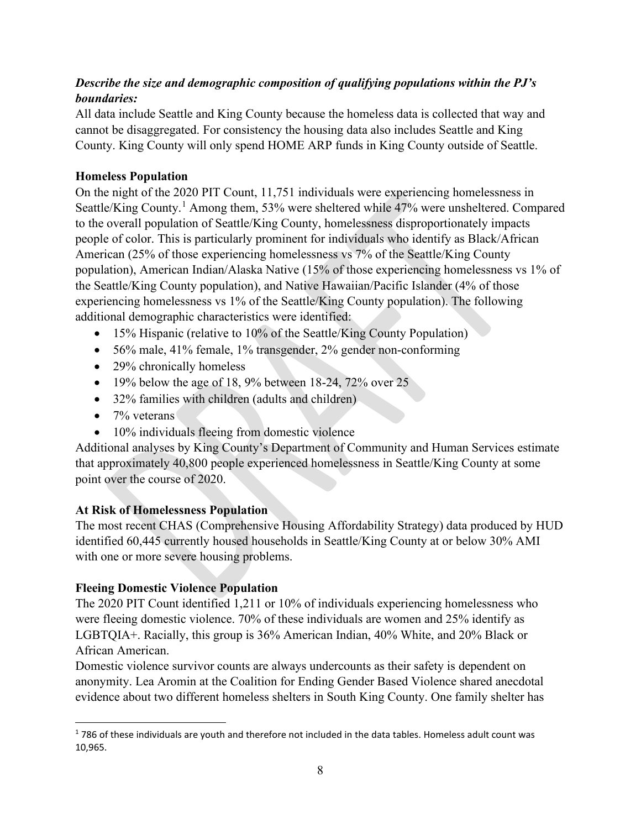### *Describe the size and demographic composition of qualifying populations within the PJ's boundaries:*

All data include Seattle and King County because the homeless data is collected that way and cannot be disaggregated. For consistency the housing data also includes Seattle and King County. King County will only spend HOME ARP funds in King County outside of Seattle.

#### **Homeless Population**

On the night of the 2020 PIT Count, 11,751 individuals were experiencing homelessness in Seattle/King County.<sup>[1](#page-7-0)</sup> Among them, 53% were sheltered while 47% were unsheltered. Compared to the overall population of Seattle/King County, homelessness disproportionately impacts people of color. This is particularly prominent for individuals who identify as Black/African American (25% of those experiencing homelessness vs 7% of the Seattle/King County population), American Indian/Alaska Native (15% of those experiencing homelessness vs 1% of the Seattle/King County population), and Native Hawaiian/Pacific Islander (4% of those experiencing homelessness vs 1% of the Seattle/King County population). The following additional demographic characteristics were identified:

- 15% Hispanic (relative to 10% of the Seattle/King County Population)
- 56% male, 41% female, 1% transgender, 2% gender non-conforming
- 29% chronically homeless
- 19% below the age of 18, 9% between 18-24, 72% over 25
- 32% families with children (adults and children)
- $\bullet$  7% veterans
- 10% individuals fleeing from domestic violence

Additional analyses by King County's Department of Community and Human Services estimate that approximately 40,800 people experienced homelessness in Seattle/King County at some point over the course of 2020.

### **At Risk of Homelessness Population**

The most recent CHAS (Comprehensive Housing Affordability Strategy) data produced by HUD identified 60,445 currently housed households in Seattle/King County at or below 30% AMI with one or more severe housing problems.

### **Fleeing Domestic Violence Population**

The 2020 PIT Count identified 1,211 or 10% of individuals experiencing homelessness who were fleeing domestic violence. 70% of these individuals are women and 25% identify as LGBTQIA+. Racially, this group is 36% American Indian, 40% White, and 20% Black or African American.

Domestic violence survivor counts are always undercounts as their safety is dependent on anonymity. Lea Aromin at the Coalition for Ending Gender Based Violence shared anecdotal evidence about two different homeless shelters in South King County. One family shelter has

<span id="page-7-0"></span><sup>1</sup> 786 of these individuals are youth and therefore not included in the data tables. Homeless adult count was 10,965.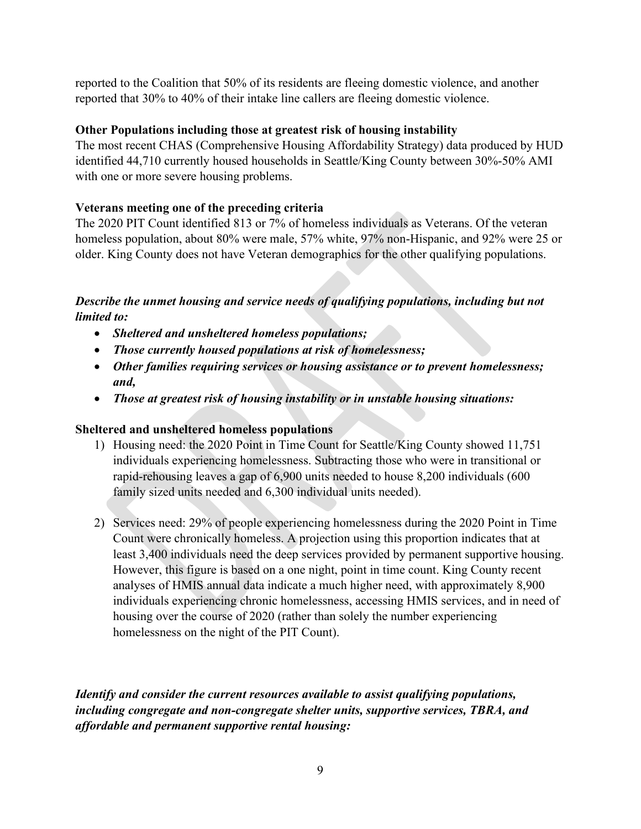reported to the Coalition that 50% of its residents are fleeing domestic violence, and another reported that 30% to 40% of their intake line callers are fleeing domestic violence.

#### **Other Populations including those at greatest risk of housing instability**

The most recent CHAS (Comprehensive Housing Affordability Strategy) data produced by HUD identified 44,710 currently housed households in Seattle/King County between 30%-50% AMI with one or more severe housing problems.

#### **Veterans meeting one of the preceding criteria**

The 2020 PIT Count identified 813 or 7% of homeless individuals as Veterans. Of the veteran homeless population, about 80% were male, 57% white, 97% non-Hispanic, and 92% were 25 or older. King County does not have Veteran demographics for the other qualifying populations.

### *Describe the unmet housing and service needs of qualifying populations, including but not limited to:*

- *Sheltered and unsheltered homeless populations;*
- *Those currently housed populations at risk of homelessness;*
- *Other families requiring services or housing assistance or to prevent homelessness; and,*
- *Those at greatest risk of housing instability or in unstable housing situations:*

#### **Sheltered and unsheltered homeless populations**

- 1) Housing need: the 2020 Point in Time Count for Seattle/King County showed 11,751 individuals experiencing homelessness. Subtracting those who were in transitional or rapid-rehousing leaves a gap of 6,900 units needed to house 8,200 individuals (600 family sized units needed and 6,300 individual units needed).
- 2) Services need: 29% of people experiencing homelessness during the 2020 Point in Time Count were chronically homeless. A projection using this proportion indicates that at least 3,400 individuals need the deep services provided by permanent supportive housing. However, this figure is based on a one night, point in time count. King County recent analyses of HMIS annual data indicate a much higher need, with approximately 8,900 individuals experiencing chronic homelessness, accessing HMIS services, and in need of housing over the course of 2020 (rather than solely the number experiencing homelessness on the night of the PIT Count).

*Identify and consider the current resources available to assist qualifying populations, including congregate and non-congregate shelter units, supportive services, TBRA, and affordable and permanent supportive rental housing:*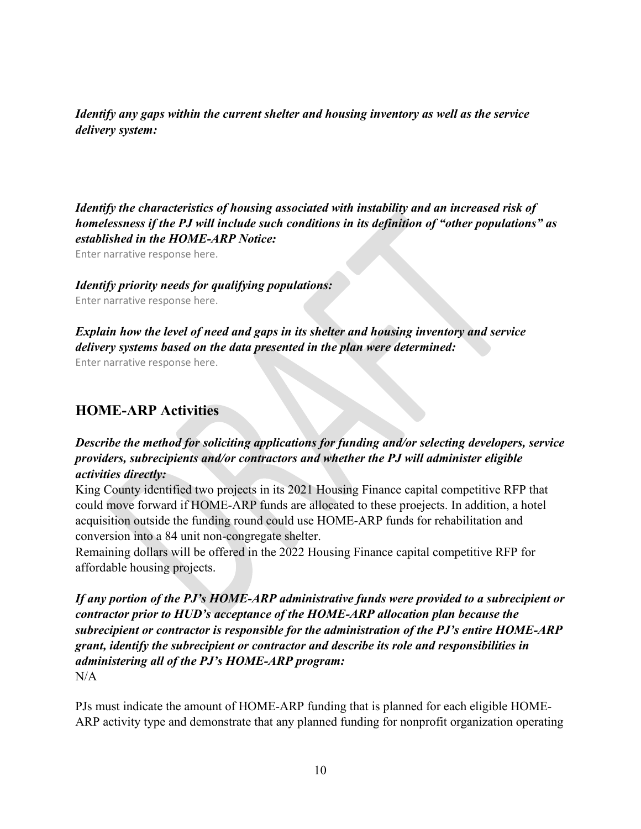*Identify any gaps within the current shelter and housing inventory as well as the service delivery system:*

*Identify the characteristics of housing associated with instability and an increased risk of homelessness if the PJ will include such conditions in its definition of "other populations" as established in the HOME-ARP Notice:*

Enter narrative response here.

#### *Identify priority needs for qualifying populations:*

Enter narrative response here.

#### *Explain how the level of need and gaps in its shelter and housing inventory and service delivery systems based on the data presented in the plan were determined:*

Enter narrative response here.

## **HOME-ARP Activities**

### *Describe the method for soliciting applications for funding and/or selecting developers, service providers, subrecipients and/or contractors and whether the PJ will administer eligible activities directly:*

King County identified two projects in its 2021 Housing Finance capital competitive RFP that could move forward if HOME-ARP funds are allocated to these proejects. In addition, a hotel acquisition outside the funding round could use HOME-ARP funds for rehabilitation and conversion into a 84 unit non-congregate shelter.

Remaining dollars will be offered in the 2022 Housing Finance capital competitive RFP for affordable housing projects.

*If any portion of the PJ's HOME-ARP administrative funds were provided to a subrecipient or contractor prior to HUD's acceptance of the HOME-ARP allocation plan because the subrecipient or contractor is responsible for the administration of the PJ's entire HOME-ARP grant, identify the subrecipient or contractor and describe its role and responsibilities in administering all of the PJ's HOME-ARP program:*  $N/A$ 

PJs must indicate the amount of HOME-ARP funding that is planned for each eligible HOME-ARP activity type and demonstrate that any planned funding for nonprofit organization operating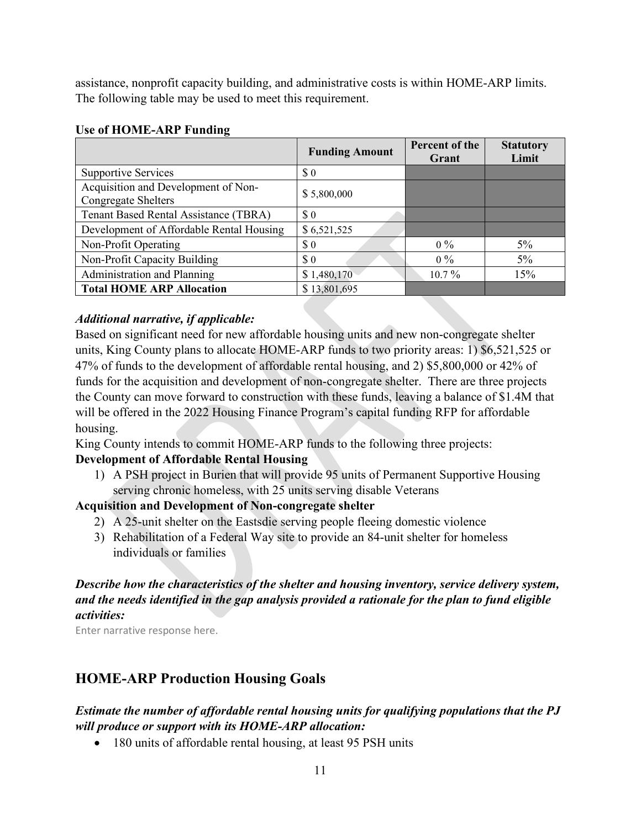assistance, nonprofit capacity building, and administrative costs is within HOME-ARP limits. The following table may be used to meet this requirement.

| o                                                                 | <b>Funding Amount</b> | Percent of the<br>Grant | <b>Statutory</b><br>Limit |  |
|-------------------------------------------------------------------|-----------------------|-------------------------|---------------------------|--|
| <b>Supportive Services</b>                                        | $\text{\$\,0$}$       |                         |                           |  |
| Acquisition and Development of Non-<br><b>Congregate Shelters</b> | \$5,800,000           |                         |                           |  |
| Tenant Based Rental Assistance (TBRA)                             | $\sqrt{3}0$           |                         |                           |  |
| Development of Affordable Rental Housing                          | \$6,521,525           |                         |                           |  |
| Non-Profit Operating                                              | $\sqrt{3}0$           | $0\%$                   | $5\%$                     |  |
| Non-Profit Capacity Building                                      | $\sqrt{3}0$           | $0\%$                   | $5\%$                     |  |
| Administration and Planning                                       | \$1,480,170           | $10.7\%$                | 15%                       |  |
| <b>Total HOME ARP Allocation</b>                                  | \$13,801,695          |                         |                           |  |

#### **Use of HOME-ARP Funding**

#### *Additional narrative, if applicable:*

Based on significant need for new affordable housing units and new non-congregate shelter units, King County plans to allocate HOME-ARP funds to two priority areas: 1) \$6,521,525 or 47% of funds to the development of affordable rental housing, and 2) \$5,800,000 or 42% of funds for the acquisition and development of non-congregate shelter. There are three projects the County can move forward to construction with these funds, leaving a balance of \$1.4M that will be offered in the 2022 Housing Finance Program's capital funding RFP for affordable housing.

King County intends to commit HOME-ARP funds to the following three projects:

### **Development of Affordable Rental Housing**

1) A PSH project in Burien that will provide 95 units of Permanent Supportive Housing serving chronic homeless, with 25 units serving disable Veterans

### **Acquisition and Development of Non-congregate shelter**

- 2) A 25-unit shelter on the Eastsdie serving people fleeing domestic violence
- 3) Rehabilitation of a Federal Way site to provide an 84-unit shelter for homeless individuals or families

### *Describe how the characteristics of the shelter and housing inventory, service delivery system, and the needs identified in the gap analysis provided a rationale for the plan to fund eligible activities:*

Enter narrative response here.

# **HOME-ARP Production Housing Goals**

### *Estimate the number of affordable rental housing units for qualifying populations that the PJ will produce or support with its HOME-ARP allocation:*

• 180 units of affordable rental housing, at least 95 PSH units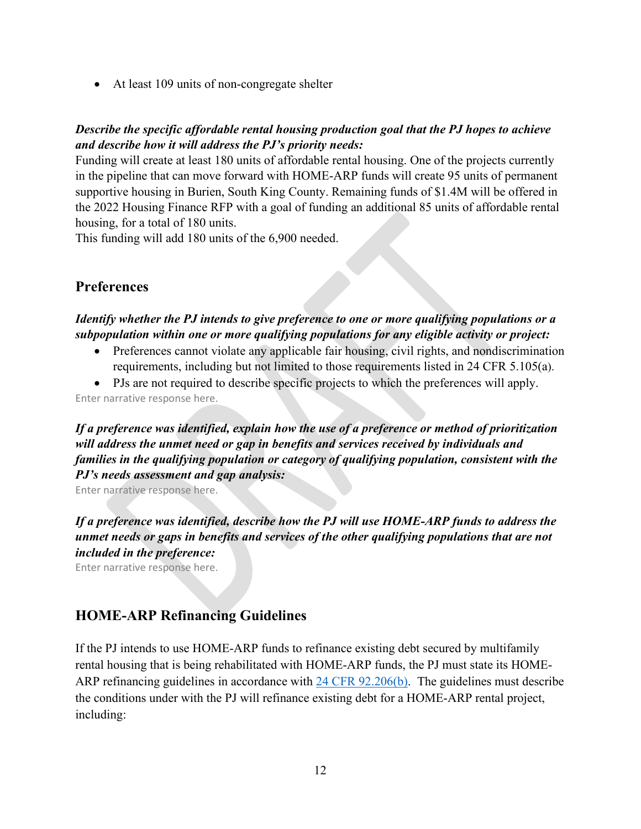• At least 109 units of non-congregate shelter

#### *Describe the specific affordable rental housing production goal that the PJ hopes to achieve and describe how it will address the PJ's priority needs:*

Funding will create at least 180 units of affordable rental housing. One of the projects currently in the pipeline that can move forward with HOME-ARP funds will create 95 units of permanent supportive housing in Burien, South King County. Remaining funds of \$1.4M will be offered in the 2022 Housing Finance RFP with a goal of funding an additional 85 units of affordable rental housing, for a total of 180 units.

This funding will add 180 units of the 6,900 needed.

## **Preferences**

#### *Identify whether the PJ intends to give preference to one or more qualifying populations or a subpopulation within one or more qualifying populations for any eligible activity or project:*

- Preferences cannot violate any applicable fair housing, civil rights, and nondiscrimination requirements, including but not limited to those requirements listed in 24 CFR 5.105(a).
- PJs are not required to describe specific projects to which the preferences will apply. Enter narrative response here.

*If a preference was identified, explain how the use of a preference or method of prioritization will address the unmet need or gap in benefits and services received by individuals and families in the qualifying population or category of qualifying population, consistent with the PJ's needs assessment and gap analysis:* 

Enter narrative response here.

*If a preference was identified, describe how the PJ will use HOME-ARP funds to address the unmet needs or gaps in benefits and services of the other qualifying populations that are not included in the preference:* 

Enter narrative response here.

## **HOME-ARP Refinancing Guidelines**

If the PJ intends to use HOME-ARP funds to refinance existing debt secured by multifamily rental housing that is being rehabilitated with HOME-ARP funds, the PJ must state its HOME-ARP refinancing guidelines in accordance with [24 CFR 92.206\(b\).](https://www.ecfr.gov/cgi-bin/text-idx?SID=273620a3dcadf1c5e247ef949a4fd87c&mc=true&node=se24.1.92_1206&rgn=div8) The guidelines must describe the conditions under with the PJ will refinance existing debt for a HOME-ARP rental project, including: